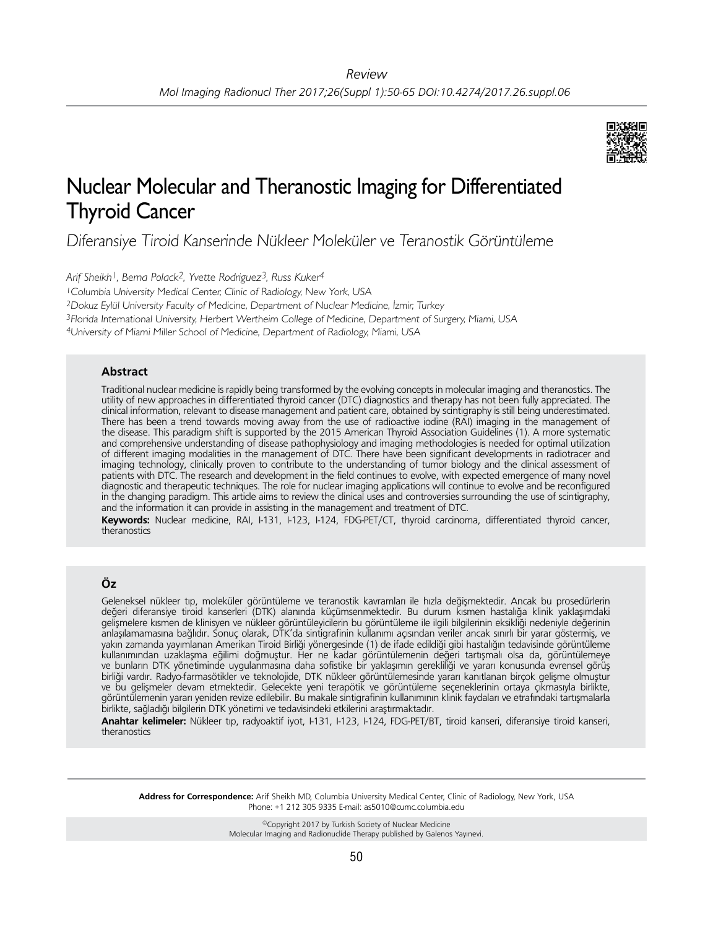

# Nuclear Molecular and Theranostic Imaging for Differentiated Thyroid Cancer

Diferansiye Tiroid Kanserinde Nükleer Moleküler ve Teranostik Görüntüleme

*Arif Sheikh1, Berna Polack2, Yvette Rodriguez3, Russ Kuker4*

<sup>1</sup>Columbia University Medical Center, Clinic of Radiology, New York, USA

<sup>2</sup>Dokuz Eylül University Faculty of Medicine, Department of Nuclear Medicine, İzmir, Turkey

<sup>3</sup>Florida International University, Herbert Wertheim College of Medicine, Department of Surgery, Miami, USA

<sup>4</sup>University of Miami Miller School of Medicine, Department of Radiology, Miami, USA

## **Abstract**

Traditional nuclear medicine is rapidly being transformed by the evolving concepts in molecular imaging and theranostics. The utility of new approaches in differentiated thyroid cancer (DTC) diagnostics and therapy has not been fully appreciated. The clinical information, relevant to disease management and patient care, obtained by scintigraphy is still being underestimated. There has been a trend towards moving away from the use of radioactive iodine (RAI) imaging in the management of the disease. This paradigm shift is supported by the 2015 American Thyroid Association Guidelines (1). A more systematic and comprehensive understanding of disease pathophysiology and imaging methodologies is needed for optimal utilization of different imaging modalities in the management of DTC. There have been significant developments in radiotracer and imaging technology, clinically proven to contribute to the understanding of tumor biology and the clinical assessment of patients with DTC. The research and development in the field continues to evolve, with expected emergence of many novel diagnostic and therapeutic techniques. The role for nuclear imaging applications will continue to evolve and be reconfigured in the changing paradigm. This article aims to review the clinical uses and controversies surrounding the use of scintigraphy, and the information it can provide in assisting in the management and treatment of DTC.

**Keywords:** Nuclear medicine, RAI, I-131, I-123, I-124, FDG-PET/CT, thyroid carcinoma, differentiated thyroid cancer, theranostics

# **Öz**

Geleneksel nükleer tıp, moleküler görüntüleme ve teranostik kavramları ile hızla değişmektedir. Ancak bu prosedürlerin değeri diferansiye tiroid kanserleri (DTK) alanında küçümsenmektedir. Bu durum kısmen hastalığa klinik yaklaşımdaki gelişmelere kısmen de klinisyen ve nükleer görüntüleyicilerin bu görüntüleme ile ilgili bilgilerinin eksikliği nedeniyle değerinin anlaşılamamasına bağlıdır. Sonuç olarak, DTK'da sintigrafinin kullanımı açısından veriler ancak sınırlı bir yarar göstermiş, ve yakın zamanda yayımlanan Amerikan Tiroid Birliği yönergesinde (1) de ifade edildiği gibi hastalığın tedavisinde görüntüleme kullanımından uzaklaşma eğilimi doğmuştur. Her ne kadar görüntülemenin değeri tartışmalı olsa da, görüntülemeye ve bunların DTK yönetiminde uygulanmasına daha sofistike bir yaklaşımın gerekliliği ve yararı konusunda evrensel görüş birliği vardır. Radyo-farmasötikler ve teknolojide, DTK nükleer görüntülemesinde yararı kanıtlanan birçok gelişme olmuştur ve bu gelişmeler devam etmektedir. Gelecekte yeni terapötik ve görüntüleme seçeneklerinin ortaya çıkmasıyla birlikte, görüntülemenin yararı yeniden revize edilebilir. Bu makale sintigrafinin kullanımının klinik faydaları ve etrafındaki tartışmalarla birlikte, sağladığı bilgilerin DTK yönetimi ve tedavisindeki etkilerini araştırmaktadır.

**Anahtar kelimeler:** Nükleer tıp, radyoaktif iyot, I-131, I-123, I-124, FDG-PET/BT, tiroid kanseri, diferansiye tiroid kanseri, theranostics

**Address for Correspondence:** Arif Sheikh MD, Columbia University Medical Center, Clinic of Radiology, New York, USA Phone: +1 212 305 9335 E-mail: as5010@cumc.columbia.edu

> ©Copyright 2017 by Turkish Society of Nuclear Medicine Molecular Imaging and Radionuclide Therapy published by Galenos Yayınevi.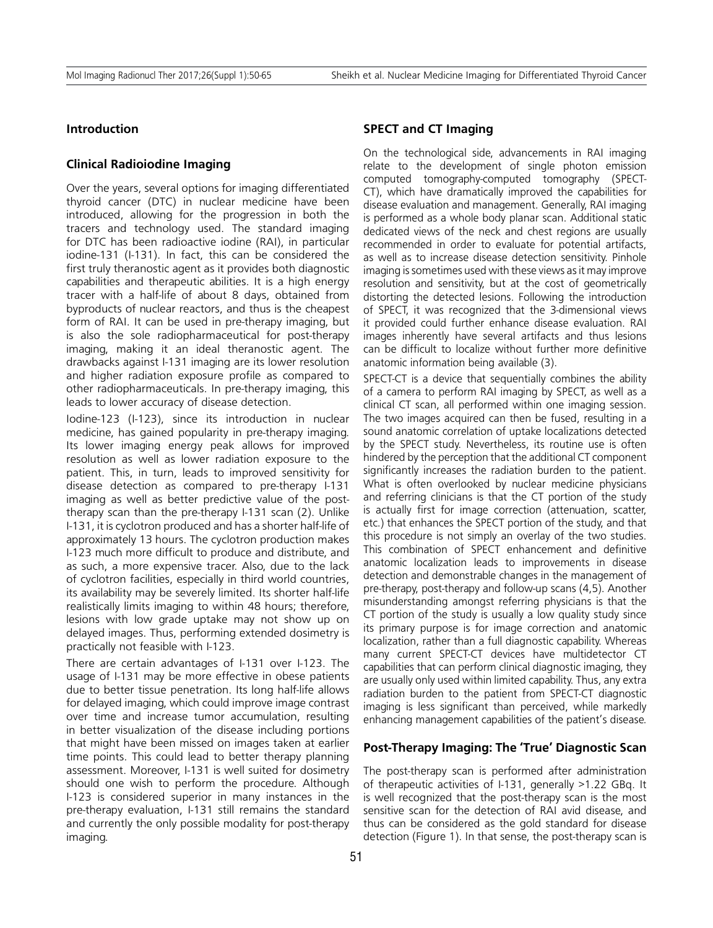## **Introduction**

## **Clinical Radioiodine Imaging**

Over the years, several options for imaging differentiated thyroid cancer (DTC) in nuclear medicine have been introduced, allowing for the progression in both the tracers and technology used. The standard imaging for DTC has been radioactive iodine (RAI), in particular iodine-131 (I-131). In fact, this can be considered the first truly theranostic agent as it provides both diagnostic capabilities and therapeutic abilities. It is a high energy tracer with a half-life of about 8 days, obtained from byproducts of nuclear reactors, and thus is the cheapest form of RAI. It can be used in pre-therapy imaging, but is also the sole radiopharmaceutical for post-therapy imaging, making it an ideal theranostic agent. The drawbacks against I-131 imaging are its lower resolution and higher radiation exposure profile as compared to other radiopharmaceuticals. In pre-therapy imaging, this leads to lower accuracy of disease detection.

Iodine-123 (I-123), since its introduction in nuclear medicine, has gained popularity in pre-therapy imaging. Its lower imaging energy peak allows for improved resolution as well as lower radiation exposure to the patient. This, in turn, leads to improved sensitivity for disease detection as compared to pre-therapy I-131 imaging as well as better predictive value of the posttherapy scan than the pre-therapy I-131 scan (2). Unlike I-131, it is cyclotron produced and has a shorter half-life of approximately 13 hours. The cyclotron production makes I-123 much more difficult to produce and distribute, and as such, a more expensive tracer. Also, due to the lack of cyclotron facilities, especially in third world countries, its availability may be severely limited. Its shorter half-life realistically limits imaging to within 48 hours; therefore, lesions with low grade uptake may not show up on delayed images. Thus, performing extended dosimetry is practically not feasible with I-123.

There are certain advantages of I-131 over I-123. The usage of I-131 may be more effective in obese patients due to better tissue penetration. Its long half-life allows for delayed imaging, which could improve image contrast over time and increase tumor accumulation, resulting in better visualization of the disease including portions that might have been missed on images taken at earlier time points. This could lead to better therapy planning assessment. Moreover, I-131 is well suited for dosimetry should one wish to perform the procedure. Although I-123 is considered superior in many instances in the pre-therapy evaluation, I-131 still remains the standard and currently the only possible modality for post-therapy imaging.

## **SPECT and CT Imaging**

On the technological side, advancements in RAI imaging relate to the development of single photon emission computed tomography-computed tomography (SPECT-CT), which have dramatically improved the capabilities for disease evaluation and management. Generally, RAI imaging is performed as a whole body planar scan. Additional static dedicated views of the neck and chest regions are usually recommended in order to evaluate for potential artifacts, as well as to increase disease detection sensitivity. Pinhole imaging is sometimes used with these views as it may improve resolution and sensitivity, but at the cost of geometrically distorting the detected lesions. Following the introduction of SPECT, it was recognized that the 3-dimensional views it provided could further enhance disease evaluation. RAI images inherently have several artifacts and thus lesions can be difficult to localize without further more definitive anatomic information being available (3).

SPECT-CT is a device that sequentially combines the ability of a camera to perform RAI imaging by SPECT, as well as a clinical CT scan, all performed within one imaging session. The two images acquired can then be fused, resulting in a sound anatomic correlation of uptake localizations detected by the SPECT study. Nevertheless, its routine use is often hindered by the perception that the additional CT component significantly increases the radiation burden to the patient. What is often overlooked by nuclear medicine physicians and referring clinicians is that the CT portion of the study is actually first for image correction (attenuation, scatter, etc.) that enhances the SPECT portion of the study, and that this procedure is not simply an overlay of the two studies. This combination of SPECT enhancement and definitive anatomic localization leads to improvements in disease detection and demonstrable changes in the management of pre-therapy, post-therapy and follow-up scans (4,5). Another misunderstanding amongst referring physicians is that the CT portion of the study is usually a low quality study since its primary purpose is for image correction and anatomic localization, rather than a full diagnostic capability. Whereas many current SPECT-CT devices have multidetector CT capabilities that can perform clinical diagnostic imaging, they are usually only used within limited capability. Thus, any extra radiation burden to the patient from SPECT-CT diagnostic imaging is less significant than perceived, while markedly enhancing management capabilities of the patient's disease.

#### **Post-Therapy Imaging: The 'True' Diagnostic Scan**

The post-therapy scan is performed after administration of therapeutic activities of I-131, generally >1.22 GBq. It is well recognized that the post-therapy scan is the most sensitive scan for the detection of RAI avid disease, and thus can be considered as the gold standard for disease detection (Figure 1). In that sense, the post-therapy scan is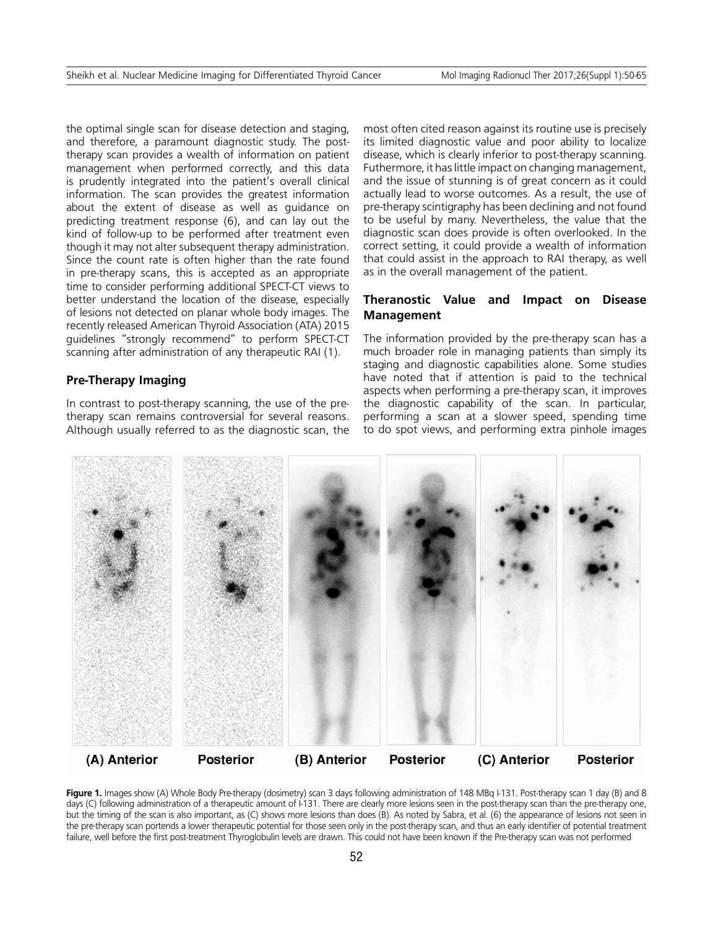the optimal single scan for disease detection and staging, and therefore, a paramount diagnostic study. The posttherapy scan provides a wealth of information on patient management when performed correctly, and this data is prudently integrated into the patient's overall clinical information. The scan provides the greatest information about the extent of disease as well as guidance on predicting treatment response (6), and can lay out the kind of follow-up to be performed after treatment even though it may not alter subsequent therapy administration. Since the count rate is often higher than the rate found in pre-therapy scans, this is accepted as an appropriate time to consider performing additional SPECT-CT views to better understand the location of the disease, especially of lesions not detected on planar whole body images. The recently released American Thyroid Association (ATA) 2015 guidelines "strongly recommend" to perform SPECT-CT scanning after administration of any therapeutic RAI (1).

# **Pre-Therapy Imaging**

In contrast to post-therapy scanning, the use of the pretherapy scan remains controversial for several reasons. Although usually referred to as the diagnostic scan, the most often cited reason against its routine use is precisely its limited diagnostic value and poor ability to localize disease, which is clearly inferior to post-therapy scanning. Futhermore, it has little impact on changing management, and the issue of stunning is of great concern as it could actually lead to worse outcomes. As a result, the use of pre-therapy scintigraphy has been declining and not found to be useful by many. Nevertheless, the value that the diagnostic scan does provide is often overlooked. In the correct setting, it could provide a wealth of information that could assist in the approach to RAI therapy, as well as in the overall management of the patient.

## **Theranostic Value and Impact on Disease Management**

The information provided by the pre-therapy scan has a much broader role in managing patients than simply its staging and diagnostic capabilities alone. Some studies have noted that if attention is paid to the technical aspects when performing a pre-therapy scan, it improves the diagnostic capability of the scan. In particular, performing a scan at a slower speed, spending time to do spot views, and performing extra pinhole images



Figure 1. Images show (A) Whole Body Pre-therapy (dosimetry) scan 3 days following administration of 148 MBq I-131. Post-therapy scan 1 day (B) and 8 days (C) following administration of a therapeutic amount of I-131. There are clearly more lesions seen in the post-therapy scan than the pre-therapy one, but the timing of the scan is also important, as (C) shows more lesions than does (B). As noted by Sabra, et al. (6) the appearance of lesions not seen in the pre-therapy scan portends a lower therapeutic potential for those seen only in the post-therapy scan, and thus an early identifier of potential treatment failure, well before the first post-treatment Thyroglobulin levels are drawn. This could not have been known if the Pre-therapy scan was not performed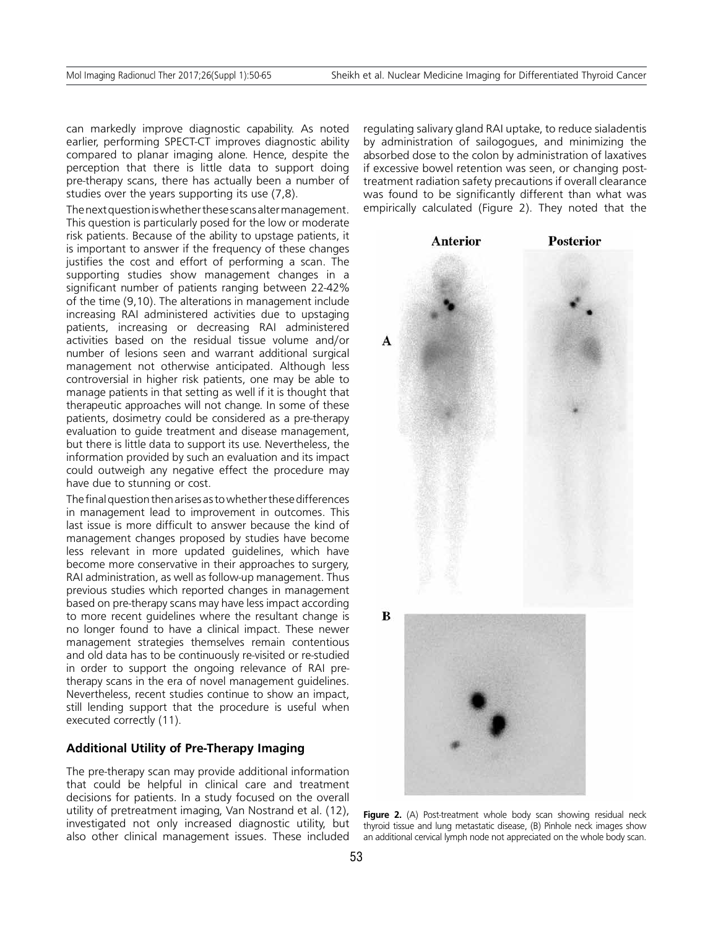can markedly improve diagnostic capability. As noted earlier, performing SPECT-CT improves diagnostic ability compared to planar imaging alone. Hence, despite the perception that there is little data to support doing pre-therapy scans, there has actually been a number of studies over the years supporting its use (7,8).

The next question is whether these scans alter management. This question is particularly posed for the low or moderate risk patients. Because of the ability to upstage patients, it is important to answer if the frequency of these changes justifies the cost and effort of performing a scan. The supporting studies show management changes in a significant number of patients ranging between 22-42% of the time (9,10). The alterations in management include increasing RAI administered activities due to upstaging patients, increasing or decreasing RAI administered activities based on the residual tissue volume and/or number of lesions seen and warrant additional surgical management not otherwise anticipated. Although less controversial in higher risk patients, one may be able to manage patients in that setting as well if it is thought that therapeutic approaches will not change. In some of these patients, dosimetry could be considered as a pre-therapy evaluation to guide treatment and disease management, but there is little data to support its use. Nevertheless, the information provided by such an evaluation and its impact could outweigh any negative effect the procedure may have due to stunning or cost.

The final question then arises as to whether these differences in management lead to improvement in outcomes. This last issue is more difficult to answer because the kind of management changes proposed by studies have become less relevant in more updated guidelines, which have become more conservative in their approaches to surgery, RAI administration, as well as follow-up management. Thus previous studies which reported changes in management based on pre-therapy scans may have less impact according to more recent guidelines where the resultant change is no longer found to have a clinical impact. These newer management strategies themselves remain contentious and old data has to be continuously re-visited or re-studied in order to support the ongoing relevance of RAI pretherapy scans in the era of novel management guidelines. Nevertheless, recent studies continue to show an impact, still lending support that the procedure is useful when executed correctly (11).

# **Additional Utility of Pre-Therapy Imaging**

The pre-therapy scan may provide additional information that could be helpful in clinical care and treatment decisions for patients. In a study focused on the overall utility of pretreatment imaging, Van Nostrand et al. (12), investigated not only increased diagnostic utility, but also other clinical management issues. These included regulating salivary gland RAI uptake, to reduce sialadentis by administration of sailogogues, and minimizing the absorbed dose to the colon by administration of laxatives if excessive bowel retention was seen, or changing posttreatment radiation safety precautions if overall clearance was found to be significantly different than what was empirically calculated (Figure 2). They noted that the



Figure 2. (A) Post-treatment whole body scan showing residual neck thyroid tissue and lung metastatic disease, (B) Pinhole neck images show an additional cervical lymph node not appreciated on the whole body scan.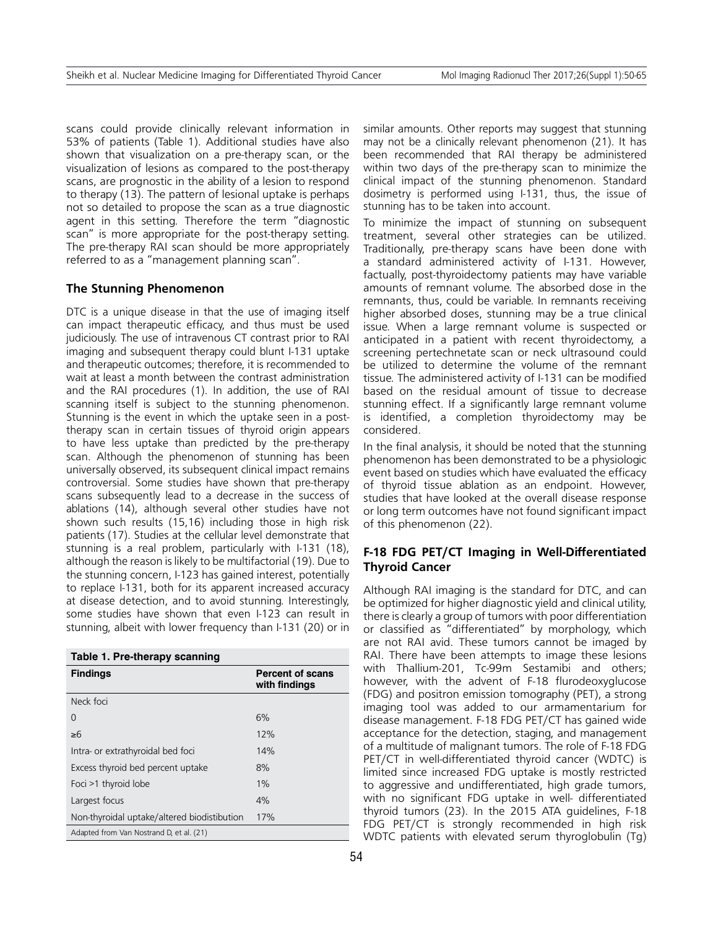scans could provide clinically relevant information in 53% of patients (Table 1). Additional studies have also shown that visualization on a pre-therapy scan, or the visualization of lesions as compared to the post-therapy scans, are prognostic in the ability of a lesion to respond to therapy (13). The pattern of lesional uptake is perhaps not so detailed to propose the scan as a true diagnostic agent in this setting. Therefore the term "diagnostic scan" is more appropriate for the post-therapy setting. The pre-therapy RAI scan should be more appropriately referred to as a "management planning scan".

## **The Stunning Phenomenon**

DTC is a unique disease in that the use of imaging itself can impact therapeutic efficacy, and thus must be used judiciously. The use of intravenous CT contrast prior to RAI imaging and subsequent therapy could blunt I-131 uptake and therapeutic outcomes; therefore, it is recommended to wait at least a month between the contrast administration and the RAI procedures (1). In addition, the use of RAI scanning itself is subject to the stunning phenomenon. Stunning is the event in which the uptake seen in a posttherapy scan in certain tissues of thyroid origin appears to have less uptake than predicted by the pre-therapy scan. Although the phenomenon of stunning has been universally observed, its subsequent clinical impact remains controversial. Some studies have shown that pre-therapy scans subsequently lead to a decrease in the success of ablations (14), although several other studies have not shown such results (15,16) including those in high risk patients (17). Studies at the cellular level demonstrate that stunning is a real problem, particularly with I-131 (18), although the reason is likely to be multifactorial (19). Due to the stunning concern, I-123 has gained interest, potentially to replace I-131, both for its apparent increased accuracy at disease detection, and to avoid stunning. Interestingly, some studies have shown that even I-123 can result in stunning, albeit with lower frequency than I-131 (20) or in

| Table 1. Pre-therapy scanning               |                                          |
|---------------------------------------------|------------------------------------------|
| <b>Findings</b>                             | <b>Percent of scans</b><br>with findings |
| Neck foci                                   |                                          |
| O                                           | 6%                                       |
| $\geq 6$                                    | 12%                                      |
| Intra- or extrathyroidal bed foci           | 14%                                      |
| Excess thyroid bed percent uptake           | 8%                                       |
| Foci >1 thyroid lobe                        | $1\%$                                    |
| Largest focus                               | 4%                                       |
| Non-thyroidal uptake/altered biodistibution | 17%                                      |
| Adapted from Van Nostrand D, et al. (21)    |                                          |

similar amounts. Other reports may suggest that stunning may not be a clinically relevant phenomenon (21). It has been recommended that RAI therapy be administered within two days of the pre-therapy scan to minimize the clinical impact of the stunning phenomenon. Standard dosimetry is performed using I-131, thus, the issue of stunning has to be taken into account.

To minimize the impact of stunning on subsequent treatment, several other strategies can be utilized. Traditionally, pre-therapy scans have been done with a standard administered activity of I-131. However, factually, post-thyroidectomy patients may have variable amounts of remnant volume. The absorbed dose in the remnants, thus, could be variable. In remnants receiving higher absorbed doses, stunning may be a true clinical issue. When a large remnant volume is suspected or anticipated in a patient with recent thyroidectomy, a screening pertechnetate scan or neck ultrasound could be utilized to determine the volume of the remnant tissue. The administered activity of I-131 can be modified based on the residual amount of tissue to decrease stunning effect. If a significantly large remnant volume is identified, a completion thyroidectomy may be considered.

In the final analysis, it should be noted that the stunning phenomenon has been demonstrated to be a physiologic event based on studies which have evaluated the efficacy of thyroid tissue ablation as an endpoint. However, studies that have looked at the overall disease response or long term outcomes have not found significant impact of this phenomenon (22).

# **F-18 FDG PET/CT Imaging in Well-Differentiated Thyroid Cancer**

Although RAI imaging is the standard for DTC, and can be optimized for higher diagnostic yield and clinical utility, there is clearly a group of tumors with poor differentiation or classified as "differentiated" by morphology, which are not RAI avid. These tumors cannot be imaged by RAI. There have been attempts to image these lesions with Thallium-201, Tc-99m Sestamibi and others; however, with the advent of F-18 flurodeoxyglucose (FDG) and positron emission tomography (PET), a strong imaging tool was added to our armamentarium for disease management. F-18 FDG PET/CT has gained wide acceptance for the detection, staging, and management of a multitude of malignant tumors. The role of F-18 FDG PET/CT in well-differentiated thyroid cancer (WDTC) is limited since increased FDG uptake is mostly restricted to aggressive and undifferentiated, high grade tumors, with no significant FDG uptake in well- differentiated thyroid tumors (23). In the 2015 ATA guidelines, F-18 FDG PET/CT is strongly recommended in high risk WDTC patients with elevated serum thyroglobulin (Tg)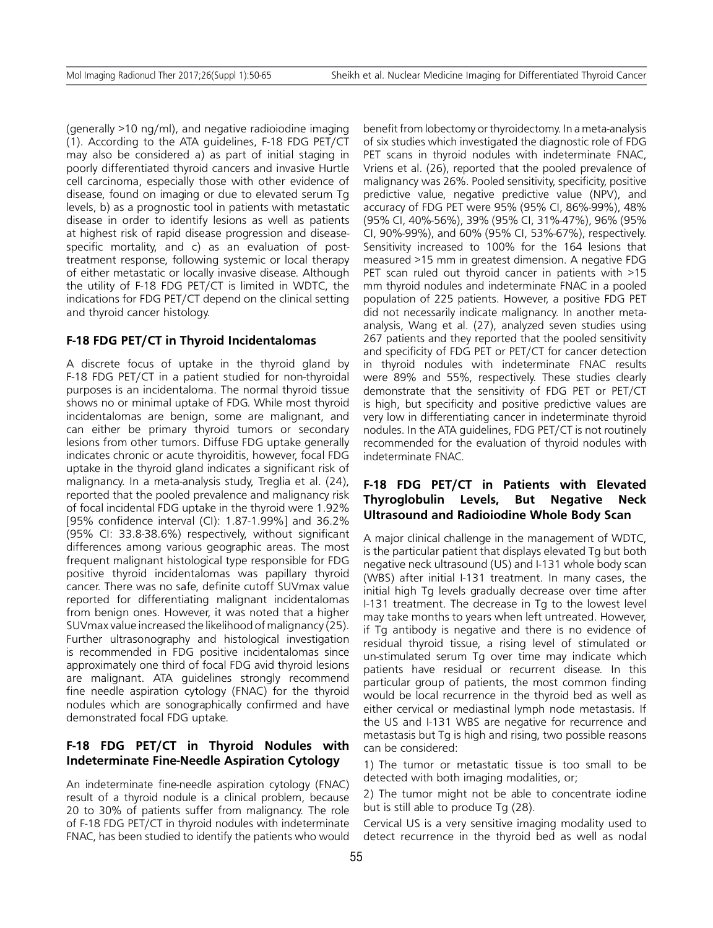(generally >10 ng/ml), and negative radioiodine imaging (1). According to the ATA guidelines, F-18 FDG PET/CT may also be considered a) as part of initial staging in poorly differentiated thyroid cancers and invasive Hurtle cell carcinoma, especially those with other evidence of disease, found on imaging or due to elevated serum Tg levels, b) as a prognostic tool in patients with metastatic disease in order to identify lesions as well as patients at highest risk of rapid disease progression and diseasespecific mortality, and c) as an evaluation of posttreatment response, following systemic or local therapy of either metastatic or locally invasive disease. Although the utility of F-18 FDG PET/CT is limited in WDTC, the indications for FDG PET/CT depend on the clinical setting and thyroid cancer histology.

#### **F-18 FDG PET/CT in Thyroid Incidentalomas**

A discrete focus of uptake in the thyroid gland by F-18 FDG PET/CT in a patient studied for non-thyroidal purposes is an incidentaloma. The normal thyroid tissue shows no or minimal uptake of FDG. While most thyroid incidentalomas are benign, some are malignant, and can either be primary thyroid tumors or secondary lesions from other tumors. Diffuse FDG uptake generally indicates chronic or acute thyroiditis, however, focal FDG uptake in the thyroid gland indicates a significant risk of malignancy. In a meta-analysis study, Treglia et al. (24), reported that the pooled prevalence and malignancy risk of focal incidental FDG uptake in the thyroid were 1.92% [95% confidence interval (CI): 1.87-1.99%] and 36.2% (95% CI: 33.8-38.6%) respectively, without significant differences among various geographic areas. The most frequent malignant histological type responsible for FDG positive thyroid incidentalomas was papillary thyroid cancer. There was no safe, definite cutoff SUVmax value reported for differentiating malignant incidentalomas from benign ones. However, it was noted that a higher SUVmax value increased the likelihood of malignancy (25). Further ultrasonography and histological investigation is recommended in FDG positive incidentalomas since approximately one third of focal FDG avid thyroid lesions are malignant. ATA guidelines strongly recommend fine needle aspiration cytology (FNAC) for the thyroid nodules which are sonographically confirmed and have demonstrated focal FDG uptake.

# **F-18 FDG PET/CT in Thyroid Nodules with Indeterminate Fine-Needle Aspiration Cytology**

An indeterminate fine-needle aspiration cytology (FNAC) result of a thyroid nodule is a clinical problem, because 20 to 30% of patients suffer from malignancy. The role of F-18 FDG PET/CT in thyroid nodules with indeterminate FNAC, has been studied to identify the patients who would

benefit from lobectomy or thyroidectomy. In a meta-analysis of six studies which investigated the diagnostic role of FDG PET scans in thyroid nodules with indeterminate FNAC, Vriens et al. (26), reported that the pooled prevalence of malignancy was 26%. Pooled sensitivity, specificity, positive predictive value, negative predictive value (NPV), and accuracy of FDG PET were 95% (95% CI, 86%-99%), 48% (95% CI, 40%-56%), 39% (95% CI, 31%-47%), 96% (95% CI, 90%-99%), and 60% (95% CI, 53%-67%), respectively. Sensitivity increased to 100% for the 164 lesions that measured >15 mm in greatest dimension. A negative FDG PET scan ruled out thyroid cancer in patients with >15 mm thyroid nodules and indeterminate FNAC in a pooled population of 225 patients. However, a positive FDG PET did not necessarily indicate malignancy. In another metaanalysis, Wang et al. (27), analyzed seven studies using 267 patients and they reported that the pooled sensitivity and specificity of FDG PET or PET/CT for cancer detection in thyroid nodules with indeterminate FNAC results were 89% and 55%, respectively. These studies clearly demonstrate that the sensitivity of FDG PET or PET/CT is high, but specificity and positive predictive values are very low in differentiating cancer in indeterminate thyroid nodules. In the ATA guidelines, FDG PET/CT is not routinely recommended for the evaluation of thyroid nodules with indeterminate FNAC.

# **F-18 FDG PET/CT in Patients with Elevated Thyroglobulin Levels, But Negative Neck Ultrasound and Radioiodine Whole Body Scan**

A major clinical challenge in the management of WDTC, is the particular patient that displays elevated Tg but both negative neck ultrasound (US) and I-131 whole body scan (WBS) after initial I-131 treatment. In many cases, the initial high Tg levels gradually decrease over time after I-131 treatment. The decrease in Tg to the lowest level may take months to years when left untreated. However, if Tg antibody is negative and there is no evidence of residual thyroid tissue, a rising level of stimulated or un-stimulated serum Tg over time may indicate which patients have residual or recurrent disease. In this particular group of patients, the most common finding would be local recurrence in the thyroid bed as well as either cervical or mediastinal lymph node metastasis. If the US and I-131 WBS are negative for recurrence and metastasis but Tg is high and rising, two possible reasons can be considered:

1) The tumor or metastatic tissue is too small to be detected with both imaging modalities, or;

2) The tumor might not be able to concentrate iodine but is still able to produce Tg (28).

Cervical US is a very sensitive imaging modality used to detect recurrence in the thyroid bed as well as nodal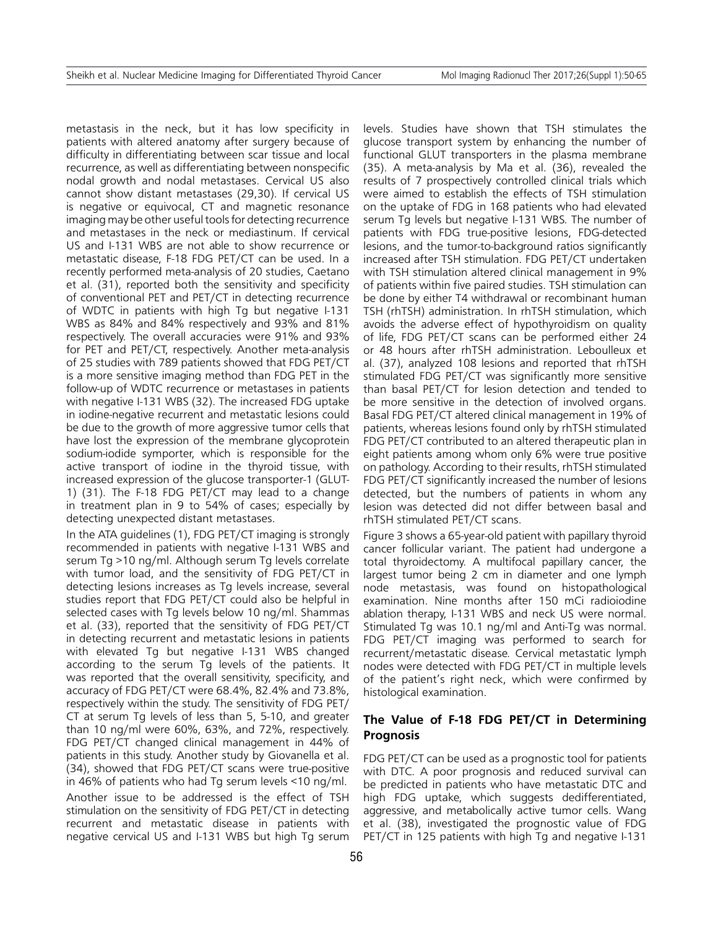metastasis in the neck, but it has low specificity in patients with altered anatomy after surgery because of difficulty in differentiating between scar tissue and local recurrence, as well as differentiating between nonspecific nodal growth and nodal metastases. Cervical US also cannot show distant metastases (29,30). If cervical US is negative or equivocal, CT and magnetic resonance imaging may be other useful tools for detecting recurrence and metastases in the neck or mediastinum. If cervical US and I-131 WBS are not able to show recurrence or metastatic disease, F-18 FDG PET/CT can be used. In a recently performed meta-analysis of 20 studies, Caetano et al. (31), reported both the sensitivity and specificity of conventional PET and PET/CT in detecting recurrence of WDTC in patients with high Tg but negative I-131 WBS as 84% and 84% respectively and 93% and 81% respectively. The overall accuracies were 91% and 93% for PET and PET/CT, respectively. Another meta-analysis of 25 studies with 789 patients showed that FDG PET/CT is a more sensitive imaging method than FDG PET in the follow-up of WDTC recurrence or metastases in patients with negative I-131 WBS (32). The increased FDG uptake in iodine-negative recurrent and metastatic lesions could be due to the growth of more aggressive tumor cells that have lost the expression of the membrane glycoprotein sodium-iodide symporter, which is responsible for the active transport of iodine in the thyroid tissue, with increased expression of the glucose transporter-1 (GLUT-1) (31). The F-18 FDG PET/CT may lead to a change in treatment plan in 9 to 54% of cases; especially by detecting unexpected distant metastases.

In the ATA guidelines (1), FDG PET/CT imaging is strongly recommended in patients with negative I-131 WBS and serum Tg >10 ng/ml. Although serum Tg levels correlate with tumor load, and the sensitivity of FDG PET/CT in detecting lesions increases as Tg levels increase, several studies report that FDG PET/CT could also be helpful in selected cases with Tg levels below 10 ng/ml. Shammas et al. (33), reported that the sensitivity of FDG PET/CT in detecting recurrent and metastatic lesions in patients with elevated Tg but negative I-131 WBS changed according to the serum Tg levels of the patients. It was reported that the overall sensitivity, specificity, and accuracy of FDG PET/CT were 68.4%, 82.4% and 73.8%, respectively within the study. The sensitivity of FDG PET/ CT at serum Tg levels of less than 5, 5-10, and greater than 10 ng/ml were 60%, 63%, and 72%, respectively. FDG PET/CT changed clinical management in 44% of patients in this study. Another study by Giovanella et al. (34), showed that FDG PET/CT scans were true-positive in 46% of patients who had Tg serum levels <10 ng/ml.

Another issue to be addressed is the effect of TSH stimulation on the sensitivity of FDG PET/CT in detecting recurrent and metastatic disease in patients with negative cervical US and I-131 WBS but high Tg serum

levels. Studies have shown that TSH stimulates the glucose transport system by enhancing the number of functional GLUT transporters in the plasma membrane (35). A meta-analysis by Ma et al. (36), revealed the results of 7 prospectively controlled clinical trials which were aimed to establish the effects of TSH stimulation on the uptake of FDG in 168 patients who had elevated serum Tg levels but negative I-131 WBS. The number of patients with FDG true-positive lesions, FDG-detected lesions, and the tumor-to-background ratios significantly increased after TSH stimulation. FDG PET/CT undertaken with TSH stimulation altered clinical management in 9% of patients within five paired studies. TSH stimulation can be done by either T4 withdrawal or recombinant human TSH (rhTSH) administration. In rhTSH stimulation, which avoids the adverse effect of hypothyroidism on quality of life, FDG PET/CT scans can be performed either 24 or 48 hours after rhTSH administration. Leboulleux et al. (37), analyzed 108 lesions and reported that rhTSH stimulated FDG PET/CT was significantly more sensitive than basal PET/CT for lesion detection and tended to be more sensitive in the detection of involved organs. Basal FDG PET/CT altered clinical management in 19% of patients, whereas lesions found only by rhTSH stimulated FDG PET/CT contributed to an altered therapeutic plan in eight patients among whom only 6% were true positive on pathology. According to their results, rhTSH stimulated FDG PET/CT significantly increased the number of lesions detected, but the numbers of patients in whom any lesion was detected did not differ between basal and rhTSH stimulated PET/CT scans.

Figure 3 shows a 65-year-old patient with papillary thyroid cancer follicular variant. The patient had undergone a total thyroidectomy. A multifocal papillary cancer, the largest tumor being 2 cm in diameter and one lymph node metastasis, was found on histopathological examination. Nine months after 150 mCi radioiodine ablation therapy, I-131 WBS and neck US were normal. Stimulated Tg was 10.1 ng/ml and Anti-Tg was normal. FDG PET/CT imaging was performed to search for recurrent/metastatic disease. Cervical metastatic lymph nodes were detected with FDG PET/CT in multiple levels of the patient's right neck, which were confirmed by histological examination.

# **The Value of F-18 FDG PET/CT in Determining Prognosis**

FDG PET/CT can be used as a prognostic tool for patients with DTC. A poor prognosis and reduced survival can be predicted in patients who have metastatic DTC and high FDG uptake, which suggests dedifferentiated, aggressive, and metabolically active tumor cells. Wang et al. (38), investigated the prognostic value of FDG PET/CT in 125 patients with high Tg and negative I-131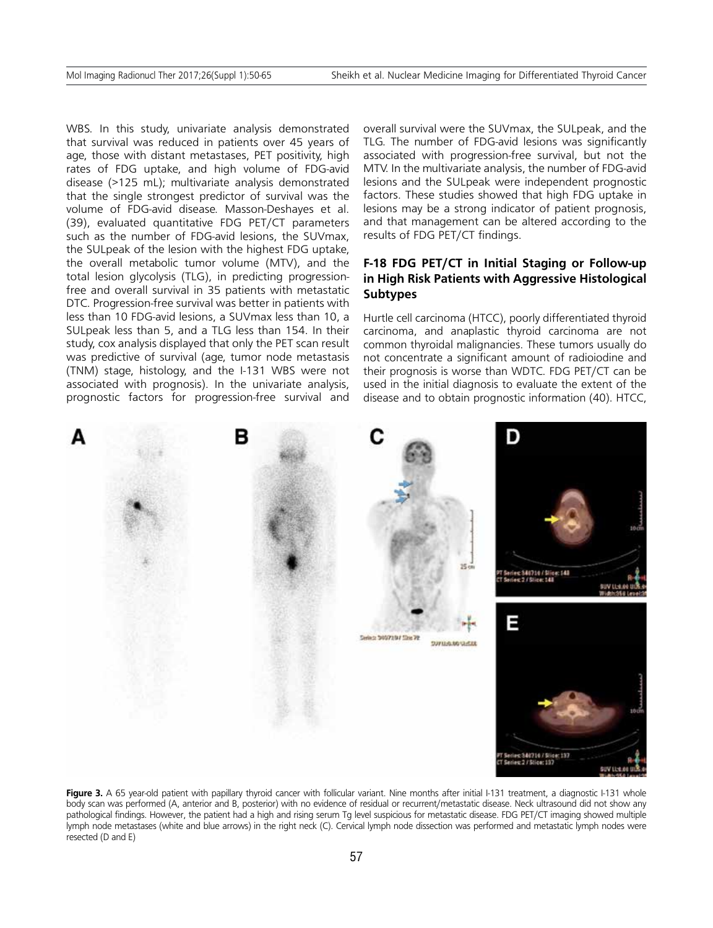WBS. In this study, univariate analysis demonstrated that survival was reduced in patients over 45 years of age, those with distant metastases, PET positivity, high rates of FDG uptake, and high volume of FDG-avid disease (>125 mL); multivariate analysis demonstrated that the single strongest predictor of survival was the volume of FDG-avid disease. Masson-Deshayes et al. (39), evaluated quantitative FDG PET/CT parameters such as the number of FDG-avid lesions, the SUVmax, the SULpeak of the lesion with the highest FDG uptake, the overall metabolic tumor volume (MTV), and the total lesion glycolysis (TLG), in predicting progressionfree and overall survival in 35 patients with metastatic DTC. Progression-free survival was better in patients with less than 10 FDG-avid lesions, a SUVmax less than 10, a SULpeak less than 5, and a TLG less than 154. In their study, cox analysis displayed that only the PET scan result was predictive of survival (age, tumor node metastasis (TNM) stage, histology, and the I-131 WBS were not associated with prognosis). In the univariate analysis, prognostic factors for progression-free survival and overall survival were the SUVmax, the SULpeak, and the TLG. The number of FDG-avid lesions was significantly associated with progression-free survival, but not the MTV. In the multivariate analysis, the number of FDG-avid lesions and the SULpeak were independent prognostic factors. These studies showed that high FDG uptake in lesions may be a strong indicator of patient prognosis, and that management can be altered according to the results of FDG PET/CT findings.

# **F-18 FDG PET/CT in Initial Staging or Follow-up in High Risk Patients with Aggressive Histological Subtypes**

Hurtle cell carcinoma (HTCC), poorly differentiated thyroid carcinoma, and anaplastic thyroid carcinoma are not common thyroidal malignancies. These tumors usually do not concentrate a significant amount of radioiodine and their prognosis is worse than WDTC. FDG PET/CT can be used in the initial diagnosis to evaluate the extent of the disease and to obtain prognostic information (40). HTCC,



Figure 3. A 65 year-old patient with papillary thyroid cancer with follicular variant. Nine months after initial I-131 treatment, a diagnostic I-131 whole body scan was performed (A, anterior and B, posterior) with no evidence of residual or recurrent/metastatic disease. Neck ultrasound did not show any pathological findings. However, the patient had a high and rising serum Tg level suspicious for metastatic disease. FDG PET/CT imaging showed multiple lymph node metastases (white and blue arrows) in the right neck (C). Cervical lymph node dissection was performed and metastatic lymph nodes were resected (D and E)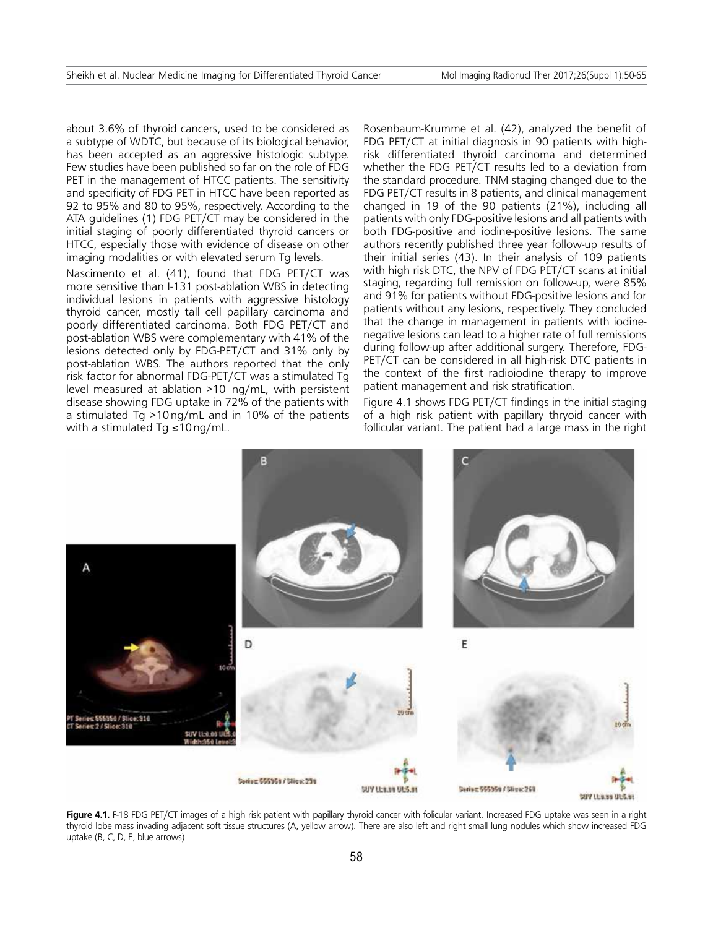about 3.6% of thyroid cancers, used to be considered as a subtype of WDTC, but because of its biological behavior, has been accepted as an aggressive histologic subtype. Few studies have been published so far on the role of FDG PET in the management of HTCC patients. The sensitivity and specificity of FDG PET in HTCC have been reported as 92 to 95% and 80 to 95%, respectively. According to the ATA guidelines (1) FDG PET/CT may be considered in the initial staging of poorly differentiated thyroid cancers or HTCC, especially those with evidence of disease on other imaging modalities or with elevated serum Tg levels.

Nascimento et al. (41), found that FDG PET/CT was more sensitive than I-131 post-ablation WBS in detecting individual lesions in patients with aggressive histology thyroid cancer, mostly tall cell papillary carcinoma and poorly differentiated carcinoma. Both FDG PET/CT and post-ablation WBS were complementary with 41% of the lesions detected only by FDG-PET/CT and 31% only by post-ablation WBS. The authors reported that the only risk factor for abnormal FDG-PET/CT was a stimulated Tg level measured at ablation >10 ng/mL, with persistent disease showing FDG uptake in 72% of the patients with a stimulated Tg >10ng/mL and in 10% of the patients with a stimulated Tg ≤10ng/mL.

Rosenbaum-Krumme et al. (42), analyzed the benefit of FDG PET/CT at initial diagnosis in 90 patients with highrisk differentiated thyroid carcinoma and determined whether the FDG PET/CT results led to a deviation from the standard procedure. TNM staging changed due to the FDG PET/CT results in 8 patients, and clinical management changed in 19 of the 90 patients (21%), including all patients with only FDG-positive lesions and all patients with both FDG-positive and iodine-positive lesions. The same authors recently published three year follow-up results of their initial series (43). In their analysis of 109 patients with high risk DTC, the NPV of FDG PET/CT scans at initial staging, regarding full remission on follow-up, were 85% and 91% for patients without FDG-positive lesions and for patients without any lesions, respectively. They concluded that the change in management in patients with iodinenegative lesions can lead to a higher rate of full remissions during follow-up after additional surgery. Therefore, FDG-PET/CT can be considered in all high-risk DTC patients in the context of the first radioiodine therapy to improve patient management and risk stratification.

Figure 4.1 shows FDG PET/CT findings in the initial staging of a high risk patient with papillary thryoid cancer with follicular variant. The patient had a large mass in the right



**Figure 4.1.** F-18 FDG PET/CT images of a high risk patient with papillary thyroid cancer with folicular variant. Increased FDG uptake was seen in a right thyroid lobe mass invading adjacent soft tissue structures (A, yellow arrow). There are also left and right small lung nodules which show increased FDG uptake (B, C, D, E, blue arrows)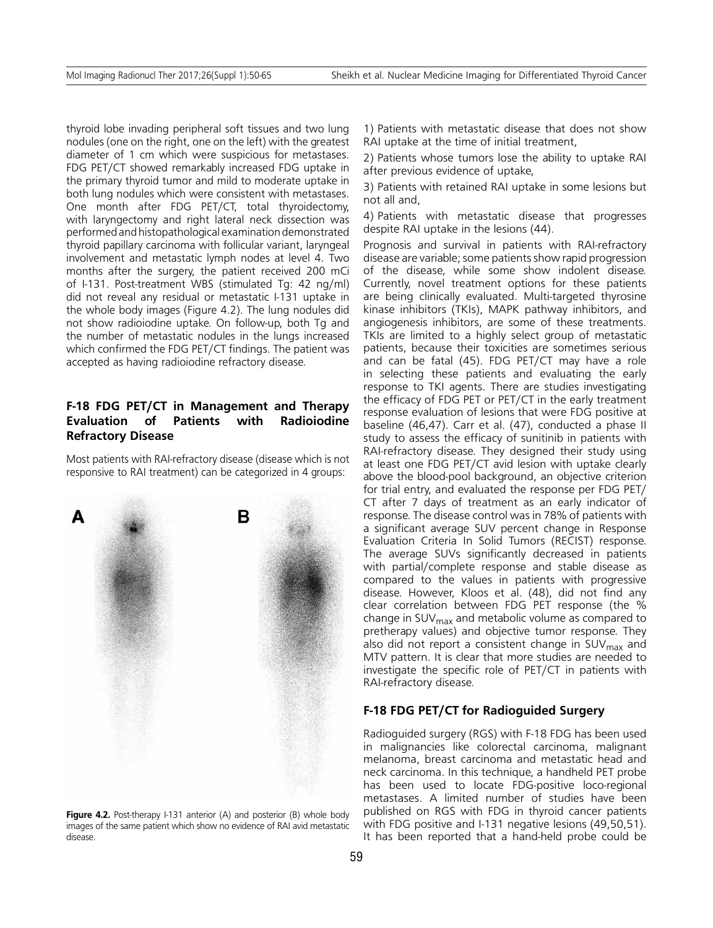thyroid lobe invading peripheral soft tissues and two lung nodules (one on the right, one on the left) with the greatest diameter of 1 cm which were suspicious for metastases. FDG PET/CT showed remarkably increased FDG uptake in the primary thyroid tumor and mild to moderate uptake in both lung nodules which were consistent with metastases. One month after FDG PET/CT, total thyroidectomy, with laryngectomy and right lateral neck dissection was performed and histopathological examination demonstrated thyroid papillary carcinoma with follicular variant, laryngeal involvement and metastatic lymph nodes at level 4. Two months after the surgery, the patient received 200 mCi of I-131. Post-treatment WBS (stimulated Tg: 42 ng/ml) did not reveal any residual or metastatic I-131 uptake in the whole body images (Figure 4.2). The lung nodules did not show radioiodine uptake. On follow-up, both Tg and the number of metastatic nodules in the lungs increased which confirmed the FDG PET/CT findings. The patient was accepted as having radioiodine refractory disease.

# **F-18 FDG PET/CT in Management and Therapy Evaluation of Patients with Radioiodine Refractory Disease**

Most patients with RAI-refractory disease (disease which is not responsive to RAI treatment) can be categorized in 4 groups:



Figure 4.2. Post-therapy I-131 anterior (A) and posterior (B) whole body images of the same patient which show no evidence of RAI avid metastatic disease.

1) Patients with metastatic disease that does not show RAI uptake at the time of initial treatment,

2) Patients whose tumors lose the ability to uptake RAI after previous evidence of uptake,

3) Patients with retained RAI uptake in some lesions but not all and,

4) Patients with metastatic disease that progresses despite RAI uptake in the lesions (44).

Prognosis and survival in patients with RAI-refractory disease are variable; some patients show rapid progression of the disease, while some show indolent disease. Currently, novel treatment options for these patients are being clinically evaluated. Multi-targeted thyrosine kinase inhibitors (TKIs), MAPK pathway inhibitors, and angiogenesis inhibitors, are some of these treatments. TKIs are limited to a highly select group of metastatic patients, because their toxicities are sometimes serious and can be fatal (45). FDG PET/CT may have a role in selecting these patients and evaluating the early response to TKI agents. There are studies investigating the efficacy of FDG PET or PET/CT in the early treatment response evaluation of lesions that were FDG positive at baseline (46,47). Carr et al. (47), conducted a phase II study to assess the efficacy of sunitinib in patients with RAI-refractory disease. They designed their study using at least one FDG PET/CT avid lesion with uptake clearly above the blood-pool background, an objective criterion for trial entry, and evaluated the response per FDG PET/ CT after 7 days of treatment as an early indicator of response. The disease control was in 78% of patients with a significant average SUV percent change in Response Evaluation Criteria In Solid Tumors (RECIST) response. The average SUVs significantly decreased in patients with partial/complete response and stable disease as compared to the values in patients with progressive disease. However, Kloos et al. (48), did not find any clear correlation between FDG PET response (the % change in  $SUV<sub>max</sub>$  and metabolic volume as compared to pretherapy values) and objective tumor response. They also did not report a consistent change in  $SUV<sub>max</sub>$  and MTV pattern. It is clear that more studies are needed to investigate the specific role of PET/CT in patients with RAI-refractory disease.

## **F-18 FDG PET/CT for Radioguided Surgery**

Radioguided surgery (RGS) with F-18 FDG has been used in malignancies like colorectal carcinoma, malignant melanoma, breast carcinoma and metastatic head and neck carcinoma. In this technique, a handheld PET probe has been used to locate FDG-positive loco-regional metastases. A limited number of studies have been published on RGS with FDG in thyroid cancer patients with FDG positive and I-131 negative lesions (49,50,51). It has been reported that a hand-held probe could be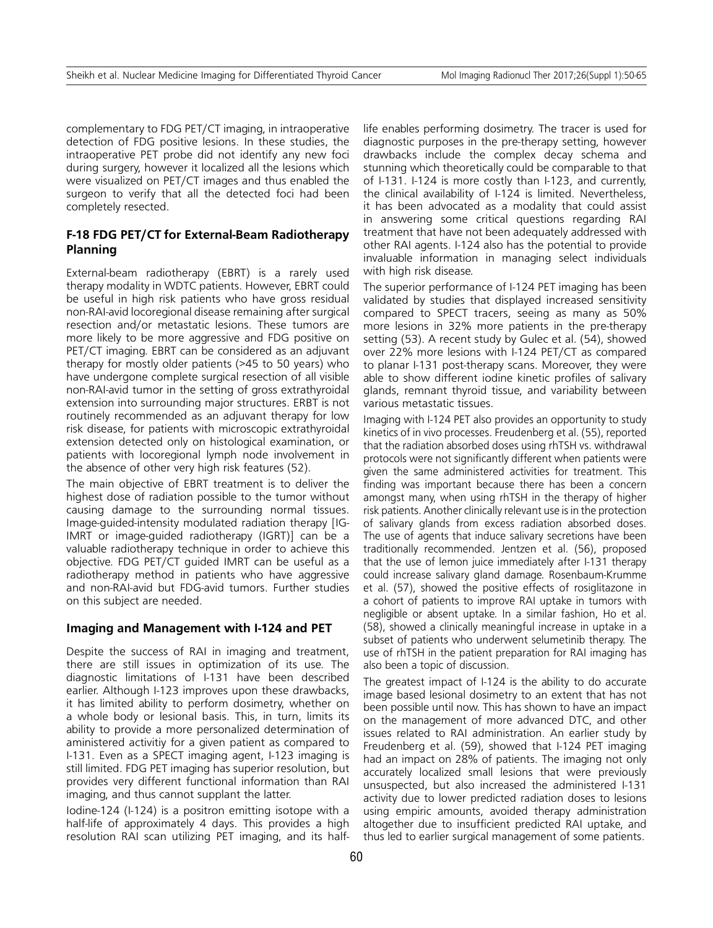complementary to FDG PET/CT imaging, in intraoperative detection of FDG positive lesions. In these studies, the intraoperative PET probe did not identify any new foci during surgery, however it localized all the lesions which were visualized on PET/CT images and thus enabled the surgeon to verify that all the detected foci had been completely resected.

# **F-18 FDG PET/CT for External-Beam Radiotherapy Planning**

External-beam radiotherapy (EBRT) is a rarely used therapy modality in WDTC patients. However, EBRT could be useful in high risk patients who have gross residual non-RAI-avid locoregional disease remaining after surgical resection and/or metastatic lesions. These tumors are more likely to be more aggressive and FDG positive on PET/CT imaging. EBRT can be considered as an adjuvant therapy for mostly older patients (>45 to 50 years) who have undergone complete surgical resection of all visible non-RAI-avid tumor in the setting of gross extrathyroidal extension into surrounding major structures. ERBT is not routinely recommended as an adjuvant therapy for low risk disease, for patients with microscopic extrathyroidal extension detected only on histological examination, or patients with locoregional lymph node involvement in the absence of other very high risk features (52).

The main objective of EBRT treatment is to deliver the highest dose of radiation possible to the tumor without causing damage to the surrounding normal tissues. Image-guided-intensity modulated radiation therapy [IG-IMRT or image-guided radiotherapy (IGRT)] can be a valuable radiotherapy technique in order to achieve this objective. FDG PET/CT guided IMRT can be useful as a radiotherapy method in patients who have aggressive and non-RAI-avid but FDG-avid tumors. Further studies on this subject are needed.

#### **Imaging and Management with I-124 and PET**

Despite the success of RAI in imaging and treatment, there are still issues in optimization of its use. The diagnostic limitations of I-131 have been described earlier. Although I-123 improves upon these drawbacks, it has limited ability to perform dosimetry, whether on a whole body or lesional basis. This, in turn, limits its ability to provide a more personalized determination of aministered activitiy for a given patient as compared to I-131. Even as a SPECT imaging agent, I-123 imaging is still limited. FDG PET imaging has superior resolution, but provides very different functional information than RAI imaging, and thus cannot supplant the latter.

Iodine-124 (I-124) is a positron emitting isotope with a half-life of approximately 4 days. This provides a high resolution RAI scan utilizing PET imaging, and its halflife enables performing dosimetry. The tracer is used for diagnostic purposes in the pre-therapy setting, however drawbacks include the complex decay schema and stunning which theoretically could be comparable to that of I-131. I-124 is more costly than I-123, and currently, the clinical availability of I-124 is limited. Nevertheless, it has been advocated as a modality that could assist in answering some critical questions regarding RAI treatment that have not been adequately addressed with other RAI agents. I-124 also has the potential to provide invaluable information in managing select individuals with high risk disease.

The superior performance of I-124 PET imaging has been validated by studies that displayed increased sensitivity compared to SPECT tracers, seeing as many as 50% more lesions in 32% more patients in the pre-therapy setting (53). A recent study by Gulec et al. (54), showed over 22% more lesions with I-124 PET/CT as compared to planar I-131 post-therapy scans. Moreover, they were able to show different iodine kinetic profiles of salivary glands, remnant thyroid tissue, and variability between various metastatic tissues.

Imaging with I-124 PET also provides an opportunity to study kinetics of in vivo processes. Freudenberg et al. (55), reported that the radiation absorbed doses using rhTSH vs. withdrawal protocols were not significantly different when patients were given the same administered activities for treatment. This finding was important because there has been a concern amongst many, when using rhTSH in the therapy of higher risk patients. Another clinically relevant use is in the protection of salivary glands from excess radiation absorbed doses. The use of agents that induce salivary secretions have been traditionally recommended. Jentzen et al. (56), proposed that the use of lemon juice immediately after I-131 therapy could increase salivary gland damage. Rosenbaum-Krumme et al. (57), showed the positive effects of rosiglitazone in a cohort of patients to improve RAI uptake in tumors with negligible or absent uptake. In a similar fashion, Ho et al. (58), showed a clinically meaningful increase in uptake in a subset of patients who underwent selumetinib therapy. The use of rhTSH in the patient preparation for RAI imaging has also been a topic of discussion.

The greatest impact of I-124 is the ability to do accurate image based lesional dosimetry to an extent that has not been possible until now. This has shown to have an impact on the management of more advanced DTC, and other issues related to RAI administration. An earlier study by Freudenberg et al. (59), showed that I-124 PET imaging had an impact on 28% of patients. The imaging not only accurately localized small lesions that were previously unsuspected, but also increased the administered I-131 activity due to lower predicted radiation doses to lesions using empiric amounts, avoided therapy administration altogether due to insufficient predicted RAI uptake, and thus led to earlier surgical management of some patients.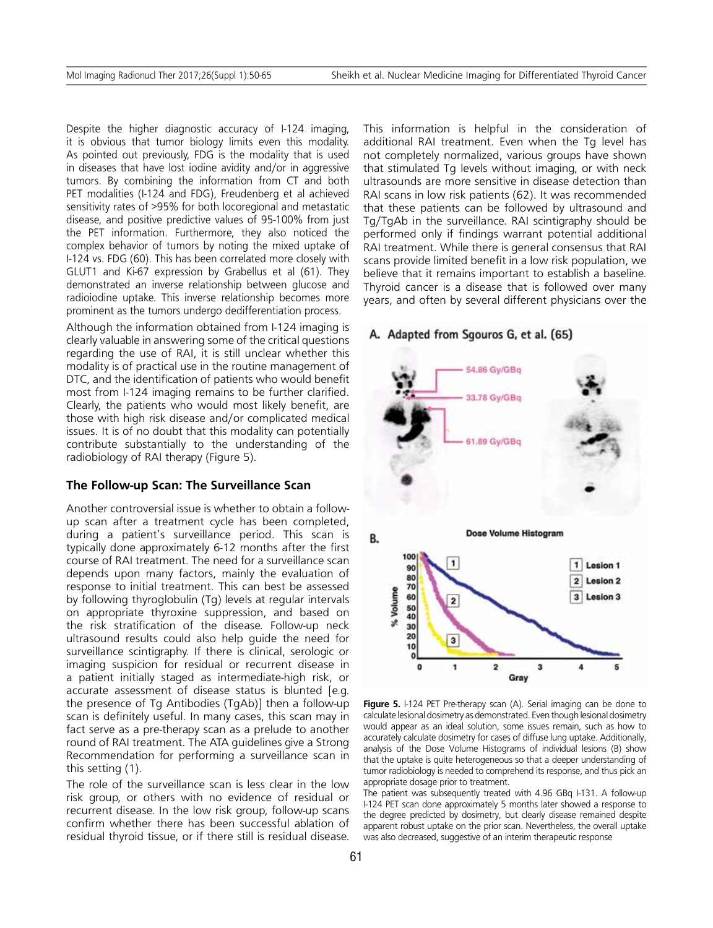Despite the higher diagnostic accuracy of I-124 imaging, it is obvious that tumor biology limits even this modality. As pointed out previously, FDG is the modality that is used in diseases that have lost iodine avidity and/or in aggressive tumors. By combining the information from CT and both PET modalities (I-124 and FDG), Freudenberg et al achieved sensitivity rates of >95% for both locoregional and metastatic disease, and positive predictive values of 95-100% from just the PET information. Furthermore, they also noticed the complex behavior of tumors by noting the mixed uptake of I-124 vs. FDG (60). This has been correlated more closely with GLUT1 and Ki-67 expression by Grabellus et al (61). They demonstrated an inverse relationship between glucose and radioiodine uptake. This inverse relationship becomes more prominent as the tumors undergo dedifferentiation process.

Although the information obtained from I-124 imaging is clearly valuable in answering some of the critical questions regarding the use of RAI, it is still unclear whether this modality is of practical use in the routine management of DTC, and the identification of patients who would benefit most from I-124 imaging remains to be further clarified. Clearly, the patients who would most likely benefit, are those with high risk disease and/or complicated medical issues. It is of no doubt that this modality can potentially contribute substantially to the understanding of the radiobiology of RAI therapy (Figure 5).

#### **The Follow-up Scan: The Surveillance Scan**

Another controversial issue is whether to obtain a followup scan after a treatment cycle has been completed, during a patient's surveillance period. This scan is typically done approximately 6-12 months after the first course of RAI treatment. The need for a surveillance scan depends upon many factors, mainly the evaluation of response to initial treatment. This can best be assessed by following thyroglobulin (Tg) levels at regular intervals on appropriate thyroxine suppression, and based on the risk stratification of the disease. Follow-up neck ultrasound results could also help guide the need for surveillance scintigraphy. If there is clinical, serologic or imaging suspicion for residual or recurrent disease in a patient initially staged as intermediate-high risk, or accurate assessment of disease status is blunted [e.g. the presence of Tg Antibodies (TgAb)] then a follow-up scan is definitely useful. In many cases, this scan may in fact serve as a pre-therapy scan as a prelude to another round of RAI treatment. The ATA guidelines give a Strong Recommendation for performing a surveillance scan in this setting (1).

The role of the surveillance scan is less clear in the low risk group, or others with no evidence of residual or recurrent disease. In the low risk group, follow-up scans confirm whether there has been successful ablation of residual thyroid tissue, or if there still is residual disease.

This information is helpful in the consideration of additional RAI treatment. Even when the Tg level has not completely normalized, various groups have shown that stimulated Tg levels without imaging, or with neck ultrasounds are more sensitive in disease detection than RAI scans in low risk patients (62). It was recommended that these patients can be followed by ultrasound and Tg/TgAb in the surveillance. RAI scintigraphy should be performed only if findings warrant potential additional RAI treatment. While there is general consensus that RAI scans provide limited benefit in a low risk population, we believe that it remains important to establish a baseline. Thyroid cancer is a disease that is followed over many years, and often by several different physicians over the

## A. Adapted from Sgouros G, et al. (65)



**Figure 5.** I-124 PET Pre-therapy scan (A). Serial imaging can be done to calculate lesional dosimetry as demonstrated. Even though lesional dosimetry would appear as an ideal solution, some issues remain, such as how to accurately calculate dosimetry for cases of diffuse lung uptake. Additionally, analysis of the Dose Volume Histograms of individual lesions (B) show that the uptake is quite heterogeneous so that a deeper understanding of tumor radiobiology is needed to comprehend its response, and thus pick an appropriate dosage prior to treatment.

The patient was subsequently treated with 4.96 GBq I-131. A follow-up I-124 PET scan done approximately 5 months later showed a response to the degree predicted by dosimetry, but clearly disease remained despite apparent robust uptake on the prior scan. Nevertheless, the overall uptake was also decreased, suggestive of an interim therapeutic response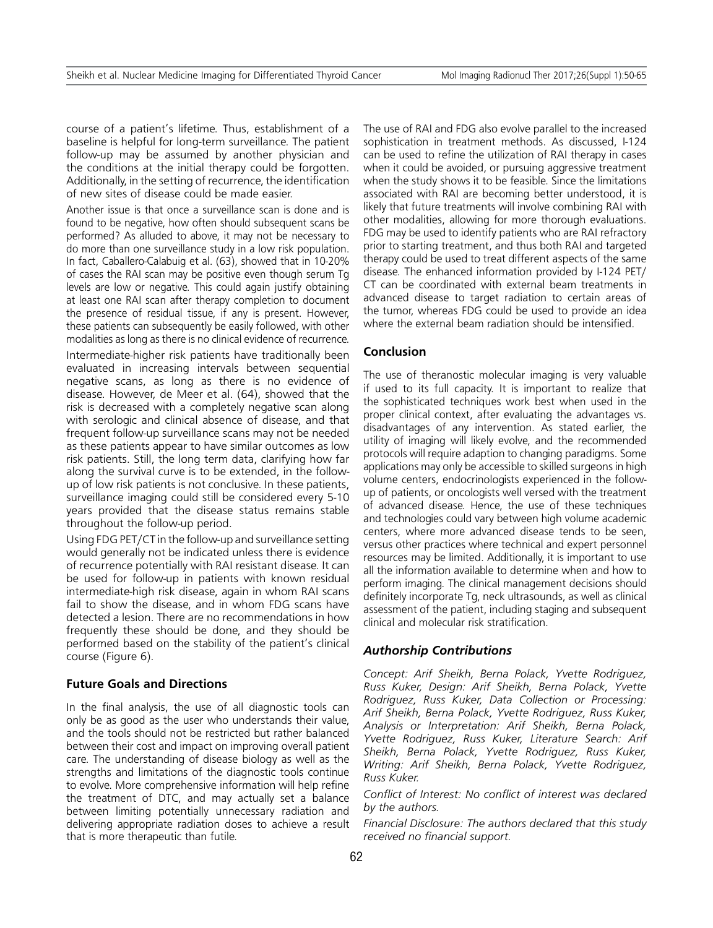course of a patient's lifetime. Thus, establishment of a baseline is helpful for long-term surveillance. The patient follow-up may be assumed by another physician and the conditions at the initial therapy could be forgotten. Additionally, in the setting of recurrence, the identification of new sites of disease could be made easier.

Another issue is that once a surveillance scan is done and is found to be negative, how often should subsequent scans be performed? As alluded to above, it may not be necessary to do more than one surveillance study in a low risk population. In fact, Caballero-Calabuig et al. (63), showed that in 10-20% of cases the RAI scan may be positive even though serum Tg levels are low or negative. This could again justify obtaining at least one RAI scan after therapy completion to document the presence of residual tissue, if any is present. However, these patients can subsequently be easily followed, with other modalities as long as there is no clinical evidence of recurrence.

Intermediate-higher risk patients have traditionally been evaluated in increasing intervals between sequential negative scans, as long as there is no evidence of disease. However, de Meer et al. (64), showed that the risk is decreased with a completely negative scan along with serologic and clinical absence of disease, and that frequent follow-up surveillance scans may not be needed as these patients appear to have similar outcomes as low risk patients. Still, the long term data, clarifying how far along the survival curve is to be extended, in the followup of low risk patients is not conclusive. In these patients, surveillance imaging could still be considered every 5-10 years provided that the disease status remains stable throughout the follow-up period.

Using FDG PET/CT in the follow-up and surveillance setting would generally not be indicated unless there is evidence of recurrence potentially with RAI resistant disease. It can be used for follow-up in patients with known residual intermediate-high risk disease, again in whom RAI scans fail to show the disease, and in whom FDG scans have detected a lesion. There are no recommendations in how frequently these should be done, and they should be performed based on the stability of the patient's clinical course (Figure 6).

## **Future Goals and Directions**

In the final analysis, the use of all diagnostic tools can only be as good as the user who understands their value, and the tools should not be restricted but rather balanced between their cost and impact on improving overall patient care. The understanding of disease biology as well as the strengths and limitations of the diagnostic tools continue to evolve. More comprehensive information will help refine the treatment of DTC, and may actually set a balance between limiting potentially unnecessary radiation and delivering appropriate radiation doses to achieve a result that is more therapeutic than futile.

The use of RAI and FDG also evolve parallel to the increased sophistication in treatment methods. As discussed, I-124 can be used to refine the utilization of RAI therapy in cases when it could be avoided, or pursuing aggressive treatment when the study shows it to be feasible. Since the limitations associated with RAI are becoming better understood, it is likely that future treatments will involve combining RAI with other modalities, allowing for more thorough evaluations. FDG may be used to identify patients who are RAI refractory prior to starting treatment, and thus both RAI and targeted therapy could be used to treat different aspects of the same disease. The enhanced information provided by I-124 PET/ CT can be coordinated with external beam treatments in advanced disease to target radiation to certain areas of the tumor, whereas FDG could be used to provide an idea where the external beam radiation should be intensified.

## **Conclusion**

The use of theranostic molecular imaging is very valuable if used to its full capacity. It is important to realize that the sophisticated techniques work best when used in the proper clinical context, after evaluating the advantages vs. disadvantages of any intervention. As stated earlier, the utility of imaging will likely evolve, and the recommended protocols will require adaption to changing paradigms. Some applications may only be accessible to skilled surgeons in high volume centers, endocrinologists experienced in the followup of patients, or oncologists well versed with the treatment of advanced disease. Hence, the use of these techniques and technologies could vary between high volume academic centers, where more advanced disease tends to be seen, versus other practices where technical and expert personnel resources may be limited. Additionally, it is important to use all the information available to determine when and how to perform imaging. The clinical management decisions should definitely incorporate Tg, neck ultrasounds, as well as clinical assessment of the patient, including staging and subsequent clinical and molecular risk stratification.

## *Authorship Contributions*

*Concept: Arif Sheikh, Berna Polack, Yvette Rodriguez, Russ Kuker, Design: Arif Sheikh, Berna Polack, Yvette Rodriguez, Russ Kuker, Data Collection or Processing: Arif Sheikh, Berna Polack, Yvette Rodriguez, Russ Kuker, Analysis or Interpretation: Arif Sheikh, Berna Polack, Yvette Rodriguez, Russ Kuker, Literature Search: Arif Sheikh, Berna Polack, Yvette Rodriguez, Russ Kuker, Writing: Arif Sheikh, Berna Polack, Yvette Rodriguez, Russ Kuker.*

*Conflict of Interest: No conflict of interest was declared by the authors.*

*Financial Disclosure: The authors declared that this study received no financial support.*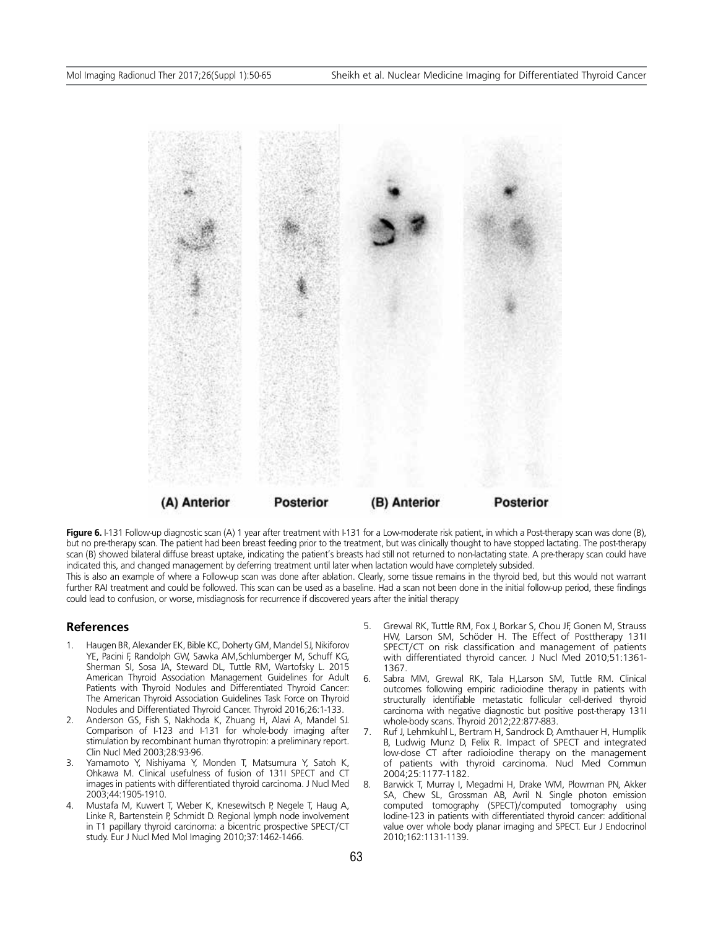

**Figure 6.** I-131 Follow-up diagnostic scan (A) 1 year after treatment with I-131 for a Low-moderate risk patient, in which a Post-therapy scan was done (B), but no pre-therapy scan. The patient had been breast feeding prior to the treatment, but was clinically thought to have stopped lactating. The post-therapy scan (B) showed bilateral diffuse breast uptake, indicating the patient's breasts had still not returned to non-lactating state. A pre-therapy scan could have indicated this, and changed management by deferring treatment until later when lactation would have completely subsided.

This is also an example of where a Follow-up scan was done after ablation. Clearly, some tissue remains in the thyroid bed, but this would not warrant further RAI treatment and could be followed. This scan can be used as a baseline. Had a scan not been done in the initial follow-up period, these findings could lead to confusion, or worse, misdiagnosis for recurrence if discovered years after the initial therapy

#### **References**

- 1. Haugen BR, Alexander EK, Bible KC, Doherty GM, Mandel SJ, Nikiforov YE, Pacini F, Randolph GW, Sawka AM,Schlumberger M, Schuff KG, Sherman SI, Sosa JA, Steward DL, Tuttle RM, Wartofsky L. 2015 American Thyroid Association Management Guidelines for Adult Patients with Thyroid Nodules and Differentiated Thyroid Cancer: The American Thyroid Association Guidelines Task Force on Thyroid Nodules and Differentiated Thyroid Cancer. Thyroid 2016;26:1-133.
- 2. Anderson GS, Fish S, Nakhoda K, Zhuang H, Alavi A, Mandel SJ. Comparison of I-123 and I-131 for whole-body imaging after stimulation by recombinant human thyrotropin: a preliminary report. Clin Nucl Med 2003;28:93-96.
- 3. Yamamoto Y, Nishiyama Y, Monden T, Matsumura Y, Satoh K, Ohkawa M. Clinical usefulness of fusion of 131I SPECT and CT images in patients with differentiated thyroid carcinoma. J Nucl Med 2003;44:1905-1910.
- 4. Mustafa M, Kuwert T, Weber K, Knesewitsch P, Negele T, Haug A, Linke R, Bartenstein P, Schmidt D. Regional lymph node involvement in T1 papillary thyroid carcinoma: a bicentric prospective SPECT/CT study. Eur J Nucl Med Mol Imaging 2010;37:1462-1466.
- 5. Grewal RK, Tuttle RM, Fox J, Borkar S, Chou JF, Gonen M, Strauss HW, Larson SM, Schöder H. The Effect of Posttherapy 131I SPECT/CT on risk classification and management of patients with differentiated thyroid cancer. J Nucl Med 2010;51:1361- 1367.
- 6. Sabra MM, Grewal RK, Tala H,Larson SM, Tuttle RM. Clinical outcomes following empiric radioiodine therapy in patients with structurally identifiable metastatic follicular cell-derived thyroid carcinoma with negative diagnostic but positive post-therapy 131I whole-body scans. Thyroid 2012;22:877-883.
- 7. Ruf J, Lehmkuhl L, Bertram H, Sandrock D, Amthauer H, Humplik B, Ludwig Munz D, Felix R. Impact of SPECT and integrated low-dose CT after radioiodine therapy on the management of patients with thyroid carcinoma. Nucl Med Commun 2004;25:1177-1182.
- 8. Barwick T, Murray I, Megadmi H, Drake WM, Plowman PN, Akker SA, Chew SL, Grossman AB, Avril N. Single photon emission computed tomography (SPECT)/computed tomography using Iodine-123 in patients with differentiated thyroid cancer: additional value over whole body planar imaging and SPECT. Eur J Endocrinol 2010;162:1131-1139.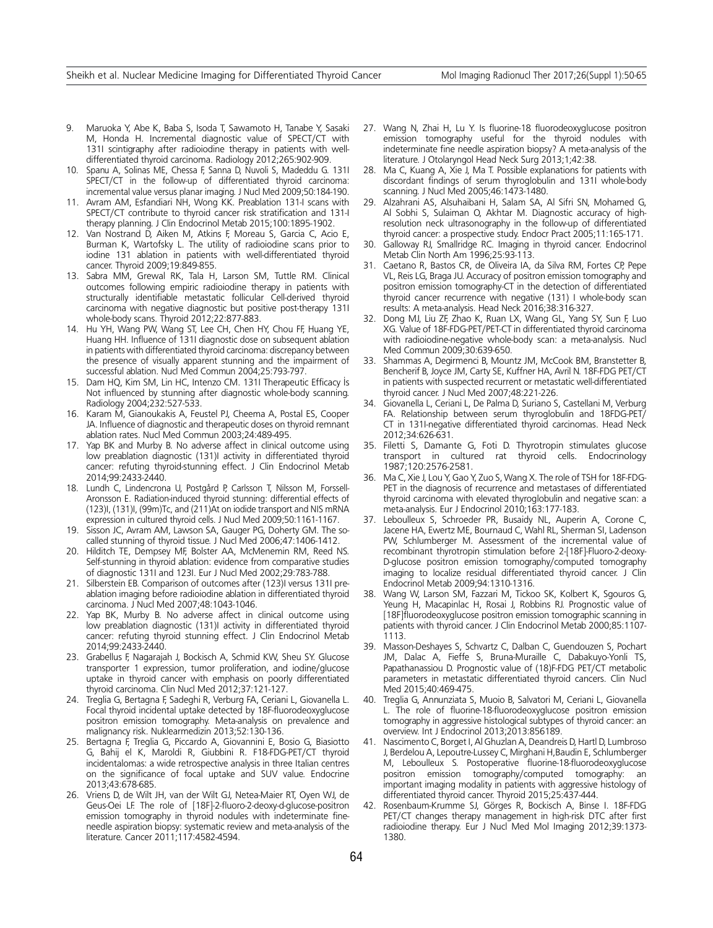- 9. Maruoka Y, Abe K, Baba S, Isoda T, Sawamoto H, Tanabe Y, Sasaki M, Honda H. Incremental diagnostic value of SPECT/CT with 131I scintigraphy after radioiodine therapy in patients with welldifferentiated thyroid carcinoma. Radiology 2012;265:902-909.
- 10. Spanu A, Solinas ME, Chessa F, Sanna D, Nuvoli S, Madeddu G. 131I SPECT/CT in the follow-up of differentiated thyroid carcinoma: incremental value versus planar imaging. J Nucl Med 2009;50:184-190.
- 11. Avram AM, Esfandiari NH, Wong KK. Preablation 131-I scans with SPECT/CT contribute to thyroid cancer risk stratification and 131-I therapy planning. J Clin Endocrinol Metab 2015;100:1895-1902.
- 12. Van Nostrand D, Aiken M, Atkins F, Moreau S, Garcia C, Acio E, Burman K, Wartofsky L. The utility of radioiodine scans prior to iodine 131 ablation in patients with well-differentiated thyroid cancer. Thyroid 2009;19:849-855.
- 13. Sabra MM, Grewal RK, Tala H, Larson SM, Tuttle RM. Clinical outcomes following empiric radioiodine therapy in patients with structurally identifiable metastatic follicular Cell-derived thyroid carcinoma with negative diagnostic but positive post-therapy 131I whole-body scans. Thyroid 2012;22:877-883.
- 14. Hu YH, Wang PW, Wang ST, Lee CH, Chen HY, Chou FF, Huang YE, Huang HH. Influence of 131I diagnostic dose on subsequent ablation in patients with differentiated thyroid carcinoma: discrepancy between the presence of visually apparent stunning and the impairment of successful ablation. Nucl Med Commun 2004;25:793-797.
- 15. Dam HQ, Kim SM, Lin HC, Intenzo CM. 131I Therapeutic Efficacy İs Not influenced by stunning after diagnostic whole-body scanning. Radiology 2004;232:527-533.
- 16. Karam M, Gianoukakis A, Feustel PJ, Cheema A, Postal ES, Cooper JA. Influence of diagnostic and therapeutic doses on thyroid remnant ablation rates. Nucl Med Commun 2003;24:489-495.
- 17. Yap BK and Murby B. No adverse affect in clinical outcome using low preablation diagnostic (131)I activity in differentiated thyroid cancer: refuting thyroid-stunning effect. J Clin Endocrinol Metab 2014;99:2433-2440.
- 18. Lundh C, Lindencrona U, Postgård P, Carlsson T, Nilsson M, Forssell-Aronsson E. Radiation-induced thyroid stunning: differential effects of (123)I, (131)I, (99m)Tc, and (211)At on iodide transport and NIS mRNA expression in cultured thyroid cells. J Nucl Med 2009;50:1161-1167.
- 19. Sisson JC, Avram AM, Lawson SA, Gauger PG, Doherty GM. The socalled stunning of thyroid tissue. J Nucl Med 2006;47:1406-1412.
- 20. Hilditch TE, Dempsey MF, Bolster AA, McMenemin RM, Reed NS. Self-stunning in thyroid ablation: evidence from comparative studies of diagnostic 131I and 123I. Eur J Nucl Med 2002;29:783-788.
- 21. Silberstein EB. Comparison of outcomes after (123)I versus 131I preablation imaging before radioiodine ablation in differentiated thyroid carcinoma. J Nucl Med 2007;48:1043-1046.
- 22. Yap BK, Murby B. No adverse affect in clinical outcome using low preablation diagnostic (131)I activity in differentiated thyroid cancer: refuting thyroid stunning effect. J Clin Endocrinol Metab 2014;99:2433-2440.
- 23. Grabellus F, Nagarajah J, Bockisch A, Schmid KW, Sheu SY. Glucose transporter 1 expression, tumor proliferation, and iodine/glucose uptake in thyroid cancer with emphasis on poorly differentiated thyroid carcinoma. Clin Nucl Med 2012;37:121-127.
- 24. Treglia G, Bertagna F, Sadeghi R, Verburg FA, Ceriani L, Giovanella L. Focal thyroid incidental uptake detected by 18F-fluorodeoxyglucose positron emission tomography. Meta-analysis on prevalence and malignancy risk. Nuklearmedizin 2013;52:130-136.
- 25. Bertagna F, Treglia G, Piccardo A, Giovannini E, Bosio G, Biasiotto G, Bahij el K, Maroldi R, Giubbini R. F18-FDG-PET/CT thyroid incidentalomas: a wide retrospective analysis in three Italian centres on the significance of focal uptake and SUV value. Endocrine 2013;43:678-685.
- 26. Vriens D, de Wilt JH, van der Wilt GJ, Netea-Maier RT, Oyen WJ, de Geus-Oei LF. The role of [18F]-2-fluoro-2-deoxy-d-glucose-positron emission tomography in thyroid nodules with indeterminate fineneedle aspiration biopsy: systematic review and meta-analysis of the literature. Cancer 2011;117:4582-4594.
- 27. Wang N, Zhai H, Lu Y. Is fluorine-18 fluorodeoxyglucose positron emission tomography useful for the thyroid nodules with indeterminate fine needle aspiration biopsy? A meta-analysis of the literature. J Otolaryngol Head Neck Surg 2013;1;42:38.
- 28. Ma C, Kuang A, Xie J, Ma T. Possible explanations for patients with discordant findings of serum thyroglobulin and 131I whole-body scanning. J Nucl Med 2005;46:1473-1480.
- 29. Alzahrani AS, Alsuhaibani H, Salam SA, Al Sifri SN, Mohamed G, Al Sobhi S, Sulaiman O, Akhtar M. Diagnostic accuracy of highresolution neck ultrasonography in the follow-up of differentiated thyroid cancer: a prospective study. Endocr Pract 2005;11:165-171.
- 30. Galloway RJ, Smallridge RC. Imaging in thyroid cancer. Endocrinol Metab Clin North Am 1996;25:93-113.
- 31. Caetano R, Bastos CR, de Oliveira IA, da Silva RM, Fortes CP, Pepe VL, Reis LG, Braga JU. Accuracy of positron emission tomography and positron emission tomography-CT in the detection of differentiated thyroid cancer recurrence with negative (131) I whole-body scan results: A meta-analysis. Head Neck 2016;38:316-327.
- 32. Dong MJ, Liu ZF, Zhao K, Ruan LX, Wang GL, Yang SY, Sun F, Luo XG. Value of 18F-FDG-PET/PET-CT in differentiated thyroid carcinoma with radioiodine-negative whole-body scan: a meta-analysis. Nucl Med Commun 2009;30:639-650.
- 33. Shammas A, Degirmenci B, Mountz JM, McCook BM, Branstetter B, Bencherif B, Joyce JM, Carty SE, Kuffner HA, Avril N. 18F-FDG PET/CT in patients with suspected recurrent or metastatic well-differentiated thyroid cancer. J Nucl Med 2007;48:221-226.
- 34. Giovanella L, Ceriani L, De Palma D, Suriano S, Castellani M, Verburg FA. Relationship between serum thyroglobulin and 18FDG-PET/ CT in 131I-negative differentiated thyroid carcinomas. Head Neck 2012;34:626-631.
- 35. Filetti S, Damante G, Foti D. Thyrotropin stimulates glucose transport in cultured rat thyroid cells. Endocrinology 1987;120:2576-2581.
- 36. Ma C, Xie J, Lou Y, Gao Y, Zuo S, Wang X. The role of TSH for 18F-FDG-PET in the diagnosis of recurrence and metastases of differentiated thyroid carcinoma with elevated thyroglobulin and negative scan: a meta-analysis. Eur J Endocrinol 2010;163:177-183.
- 37. Leboulleux S, Schroeder PR, Busaidy NL, Auperin A, Corone C, Jacene HA, Ewertz ME, Bournaud C, Wahl RL, Sherman SI, Ladenson PW, Schlumberger M. Assessment of the incremental value of recombinant thyrotropin stimulation before 2-[18F]-Fluoro-2-deoxy-D-glucose positron emission tomography/computed tomography imaging to localize residual differentiated thyroid cancer. J Clin Endocrinol Metab 2009;94:1310-1316.
- 38. Wang W, Larson SM, Fazzari M, Tickoo SK, Kolbert K, Sgouros G, Yeung H, Macapinlac H, Rosai J, Robbins RJ. Prognostic value of [18F]fluorodeoxyglucose positron emission tomographic scanning in patients with thyroid cancer. J Clin Endocrinol Metab 2000;85:1107- 1113.
- 39. Masson-Deshayes S, Schvartz C, Dalban C, Guendouzen S, Pochart JM, Dalac A, Fieffe S, Bruna-Muraille C, Dabakuyo-Yonli TS, Papathanassiou D. Prognostic value of (18)F-FDG PET/CT metabolic parameters in metastatic differentiated thyroid cancers. Clin Nucl Med 2015;40:469-475.
- 40. Treglia G, Annunziata S, Muoio B, Salvatori M, Ceriani L, Giovanella L. The role of fluorine-18-fluorodeoxyglucose positron emission tomography in aggressive histological subtypes of thyroid cancer: an overview. Int J Endocrinol 2013;2013:856189.
- 41. Nascimento C, Borget I, Al Ghuzlan A, Deandreis D, Hartl D, Lumbroso J, Berdelou A, Lepoutre-Lussey C, Mirghani H,Baudin E, Schlumberger M, Leboulleux S. Postoperative fluorine-18-fluorodeoxyglucose positron emission tomography/computed tomography: an important imaging modality in patients with aggressive histology of differentiated thyroid cancer. Thyroid 2015;25:437-444.
- 42. Rosenbaum-Krumme SJ, Görges R, Bockisch A, Binse I. 18F-FDG PET/CT changes therapy management in high-risk DTC after first radioiodine therapy. Eur J Nucl Med Mol Imaging 2012;39:1373- 1380.